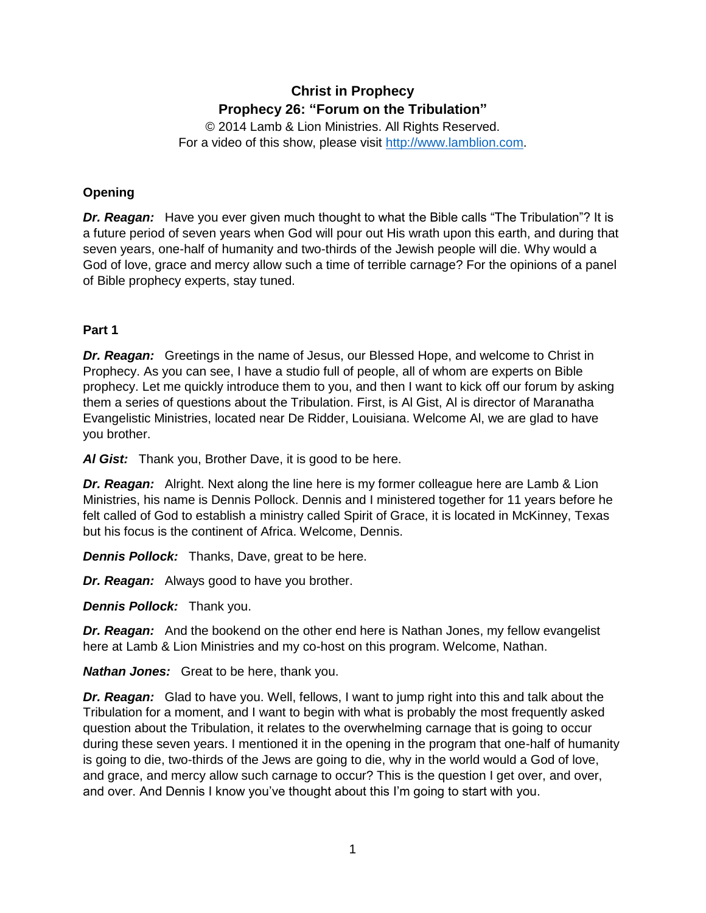# **Christ in Prophecy Prophecy 26: "Forum on the Tribulation"**

© 2014 Lamb & Lion Ministries. All Rights Reserved. For a video of this show, please visit [http://www.lamblion.com.](http://www.lamblion.com/)

# **Opening**

*Dr. Reagan:* Have you ever given much thought to what the Bible calls "The Tribulation"? It is a future period of seven years when God will pour out His wrath upon this earth, and during that seven years, one-half of humanity and two-thirds of the Jewish people will die. Why would a God of love, grace and mercy allow such a time of terrible carnage? For the opinions of a panel of Bible prophecy experts, stay tuned.

# **Part 1**

*Dr. Reagan:* Greetings in the name of Jesus, our Blessed Hope, and welcome to Christ in Prophecy. As you can see, I have a studio full of people, all of whom are experts on Bible prophecy. Let me quickly introduce them to you, and then I want to kick off our forum by asking them a series of questions about the Tribulation. First, is Al Gist, Al is director of Maranatha Evangelistic Ministries, located near De Ridder, Louisiana. Welcome Al, we are glad to have you brother.

*Al Gist:* Thank you, Brother Dave, it is good to be here.

*Dr. Reagan:* Alright. Next along the line here is my former colleague here are Lamb & Lion Ministries, his name is Dennis Pollock. Dennis and I ministered together for 11 years before he felt called of God to establish a ministry called Spirit of Grace, it is located in McKinney, Texas but his focus is the continent of Africa. Welcome, Dennis.

*Dennis Pollock:* Thanks, Dave, great to be here.

*Dr. Reagan:* Always good to have you brother.

*Dennis Pollock:* Thank you.

*Dr. Reagan:* And the bookend on the other end here is Nathan Jones, my fellow evangelist here at Lamb & Lion Ministries and my co-host on this program. Welcome, Nathan.

*Nathan Jones:* Great to be here, thank you.

*Dr. Reagan:* Glad to have you. Well, fellows, I want to jump right into this and talk about the Tribulation for a moment, and I want to begin with what is probably the most frequently asked question about the Tribulation, it relates to the overwhelming carnage that is going to occur during these seven years. I mentioned it in the opening in the program that one-half of humanity is going to die, two-thirds of the Jews are going to die, why in the world would a God of love, and grace, and mercy allow such carnage to occur? This is the question I get over, and over, and over. And Dennis I know you've thought about this I'm going to start with you.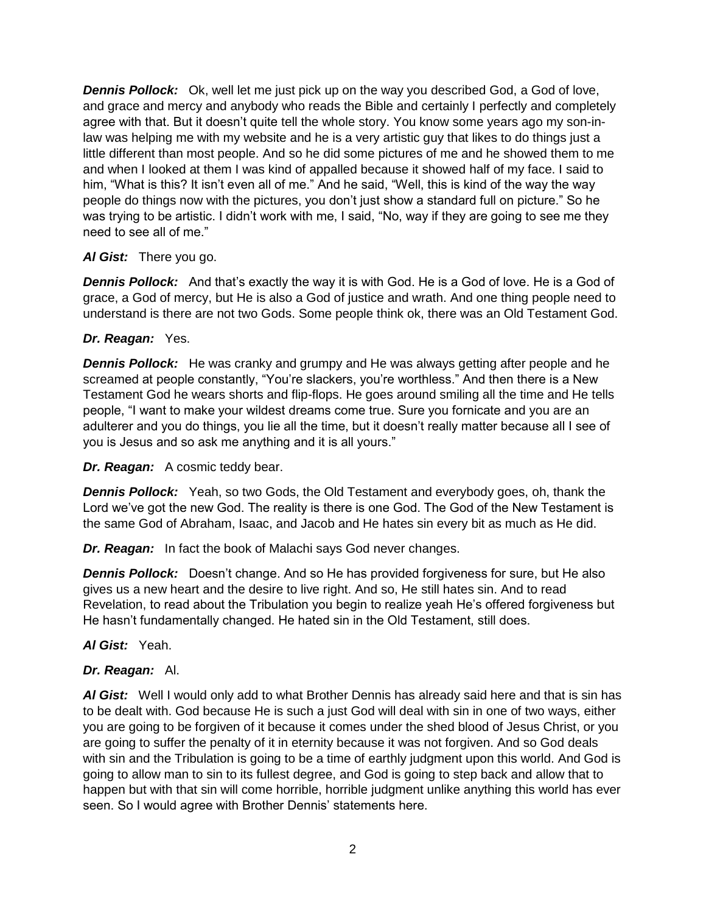*Dennis Pollock:* Ok, well let me just pick up on the way you described God, a God of love, and grace and mercy and anybody who reads the Bible and certainly I perfectly and completely agree with that. But it doesn't quite tell the whole story. You know some years ago my son-inlaw was helping me with my website and he is a very artistic guy that likes to do things just a little different than most people. And so he did some pictures of me and he showed them to me and when I looked at them I was kind of appalled because it showed half of my face. I said to him, "What is this? It isn't even all of me." And he said, "Well, this is kind of the way the way people do things now with the pictures, you don't just show a standard full on picture." So he was trying to be artistic. I didn't work with me, I said, "No, way if they are going to see me they need to see all of me."

### *Al Gist:* There you go.

*Dennis Pollock:* And that's exactly the way it is with God. He is a God of love. He is a God of grace, a God of mercy, but He is also a God of justice and wrath. And one thing people need to understand is there are not two Gods. Some people think ok, there was an Old Testament God.

### *Dr. Reagan:* Yes.

*Dennis Pollock:* He was cranky and grumpy and He was always getting after people and he screamed at people constantly, "You're slackers, you're worthless." And then there is a New Testament God he wears shorts and flip-flops. He goes around smiling all the time and He tells people, "I want to make your wildest dreams come true. Sure you fornicate and you are an adulterer and you do things, you lie all the time, but it doesn't really matter because all I see of you is Jesus and so ask me anything and it is all yours."

*Dr. Reagan:* A cosmic teddy bear.

*Dennis Pollock:* Yeah, so two Gods, the Old Testament and everybody goes, oh, thank the Lord we've got the new God. The reality is there is one God. The God of the New Testament is the same God of Abraham, Isaac, and Jacob and He hates sin every bit as much as He did.

*Dr. Reagan:* In fact the book of Malachi says God never changes.

*Dennis Pollock:* Doesn't change. And so He has provided forgiveness for sure, but He also gives us a new heart and the desire to live right. And so, He still hates sin. And to read Revelation, to read about the Tribulation you begin to realize yeah He's offered forgiveness but He hasn't fundamentally changed. He hated sin in the Old Testament, still does.

#### *Al Gist:* Yeah.

### *Dr. Reagan:* Al.

*Al Gist:* Well I would only add to what Brother Dennis has already said here and that is sin has to be dealt with. God because He is such a just God will deal with sin in one of two ways, either you are going to be forgiven of it because it comes under the shed blood of Jesus Christ, or you are going to suffer the penalty of it in eternity because it was not forgiven. And so God deals with sin and the Tribulation is going to be a time of earthly judgment upon this world. And God is going to allow man to sin to its fullest degree, and God is going to step back and allow that to happen but with that sin will come horrible, horrible judgment unlike anything this world has ever seen. So I would agree with Brother Dennis' statements here.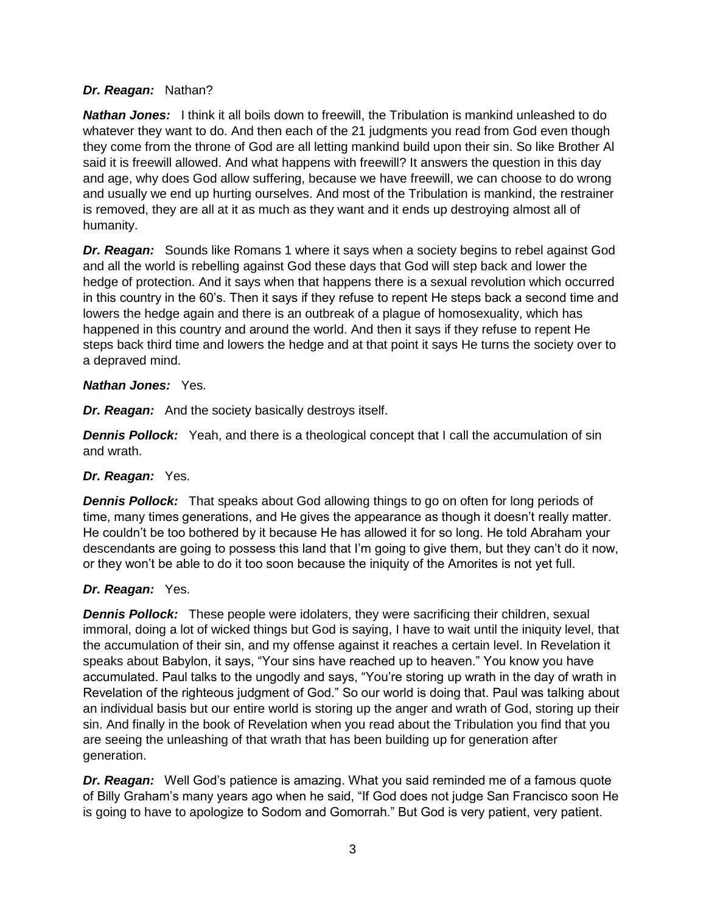### *Dr. Reagan:* Nathan?

*Nathan Jones:* I think it all boils down to freewill, the Tribulation is mankind unleashed to do whatever they want to do. And then each of the 21 judgments you read from God even though they come from the throne of God are all letting mankind build upon their sin. So like Brother Al said it is freewill allowed. And what happens with freewill? It answers the question in this day and age, why does God allow suffering, because we have freewill, we can choose to do wrong and usually we end up hurting ourselves. And most of the Tribulation is mankind, the restrainer is removed, they are all at it as much as they want and it ends up destroying almost all of humanity.

*Dr. Reagan:* Sounds like Romans 1 where it says when a society begins to rebel against God and all the world is rebelling against God these days that God will step back and lower the hedge of protection. And it says when that happens there is a sexual revolution which occurred in this country in the 60's. Then it says if they refuse to repent He steps back a second time and lowers the hedge again and there is an outbreak of a plague of homosexuality, which has happened in this country and around the world. And then it says if they refuse to repent He steps back third time and lowers the hedge and at that point it says He turns the society over to a depraved mind.

### *Nathan Jones:* Yes.

*Dr. Reagan:* And the society basically destroys itself.

**Dennis Pollock:** Yeah, and there is a theological concept that I call the accumulation of sin and wrath.

### *Dr. Reagan:* Yes.

*Dennis Pollock:* That speaks about God allowing things to go on often for long periods of time, many times generations, and He gives the appearance as though it doesn't really matter. He couldn't be too bothered by it because He has allowed it for so long. He told Abraham your descendants are going to possess this land that I'm going to give them, but they can't do it now, or they won't be able to do it too soon because the iniquity of the Amorites is not yet full.

# *Dr. Reagan:* Yes.

*Dennis Pollock:* These people were idolaters, they were sacrificing their children, sexual immoral, doing a lot of wicked things but God is saying, I have to wait until the iniquity level, that the accumulation of their sin, and my offense against it reaches a certain level. In Revelation it speaks about Babylon, it says, "Your sins have reached up to heaven." You know you have accumulated. Paul talks to the ungodly and says, "You're storing up wrath in the day of wrath in Revelation of the righteous judgment of God." So our world is doing that. Paul was talking about an individual basis but our entire world is storing up the anger and wrath of God, storing up their sin. And finally in the book of Revelation when you read about the Tribulation you find that you are seeing the unleashing of that wrath that has been building up for generation after generation.

*Dr. Reagan:* Well God's patience is amazing. What you said reminded me of a famous quote of Billy Graham's many years ago when he said, "If God does not judge San Francisco soon He is going to have to apologize to Sodom and Gomorrah." But God is very patient, very patient.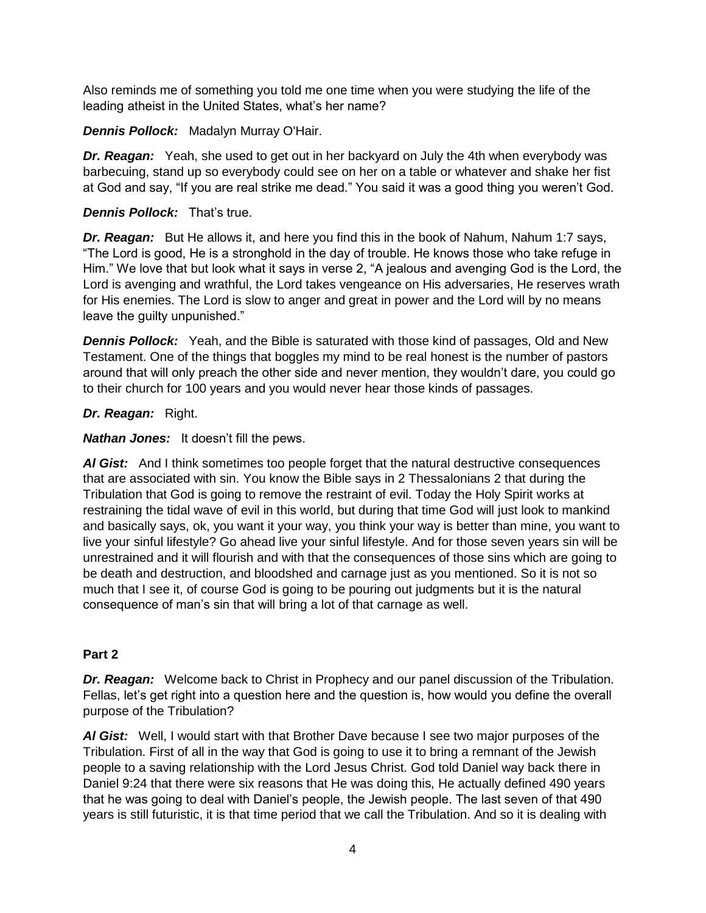Also reminds me of something you told me one time when you were studying the life of the leading atheist in the United States, what's her name?

*Dennis Pollock:* Madalyn Murray O'Hair.

**Dr. Reagan:** Yeah, she used to get out in her backyard on July the 4th when everybody was barbecuing, stand up so everybody could see on her on a table or whatever and shake her fist at God and say, "If you are real strike me dead." You said it was a good thing you weren't God.

## *Dennis Pollock:* That's true.

*Dr. Reagan:* But He allows it, and here you find this in the book of Nahum, Nahum 1:7 says, "The Lord is good, He is a stronghold in the day of trouble. He knows those who take refuge in Him." We love that but look what it says in verse 2, "A jealous and avenging God is the Lord, the Lord is avenging and wrathful, the Lord takes vengeance on His adversaries, He reserves wrath for His enemies. The Lord is slow to anger and great in power and the Lord will by no means leave the guilty unpunished."

*Dennis Pollock:* Yeah, and the Bible is saturated with those kind of passages, Old and New Testament. One of the things that boggles my mind to be real honest is the number of pastors around that will only preach the other side and never mention, they wouldn't dare, you could go to their church for 100 years and you would never hear those kinds of passages.

### *Dr. Reagan:* Right.

*Nathan Jones:* It doesn't fill the pews.

AI Gist: And I think sometimes too people forget that the natural destructive consequences that are associated with sin. You know the Bible says in 2 Thessalonians 2 that during the Tribulation that God is going to remove the restraint of evil. Today the Holy Spirit works at restraining the tidal wave of evil in this world, but during that time God will just look to mankind and basically says, ok, you want it your way, you think your way is better than mine, you want to live your sinful lifestyle? Go ahead live your sinful lifestyle. And for those seven years sin will be unrestrained and it will flourish and with that the consequences of those sins which are going to be death and destruction, and bloodshed and carnage just as you mentioned. So it is not so much that I see it, of course God is going to be pouring out judgments but it is the natural consequence of man's sin that will bring a lot of that carnage as well.

# **Part 2**

*Dr. Reagan:* Welcome back to Christ in Prophecy and our panel discussion of the Tribulation. Fellas, let's get right into a question here and the question is, how would you define the overall purpose of the Tribulation?

*Al Gist:* Well, I would start with that Brother Dave because I see two major purposes of the Tribulation. First of all in the way that God is going to use it to bring a remnant of the Jewish people to a saving relationship with the Lord Jesus Christ. God told Daniel way back there in Daniel 9:24 that there were six reasons that He was doing this, He actually defined 490 years that he was going to deal with Daniel's people, the Jewish people. The last seven of that 490 years is still futuristic, it is that time period that we call the Tribulation. And so it is dealing with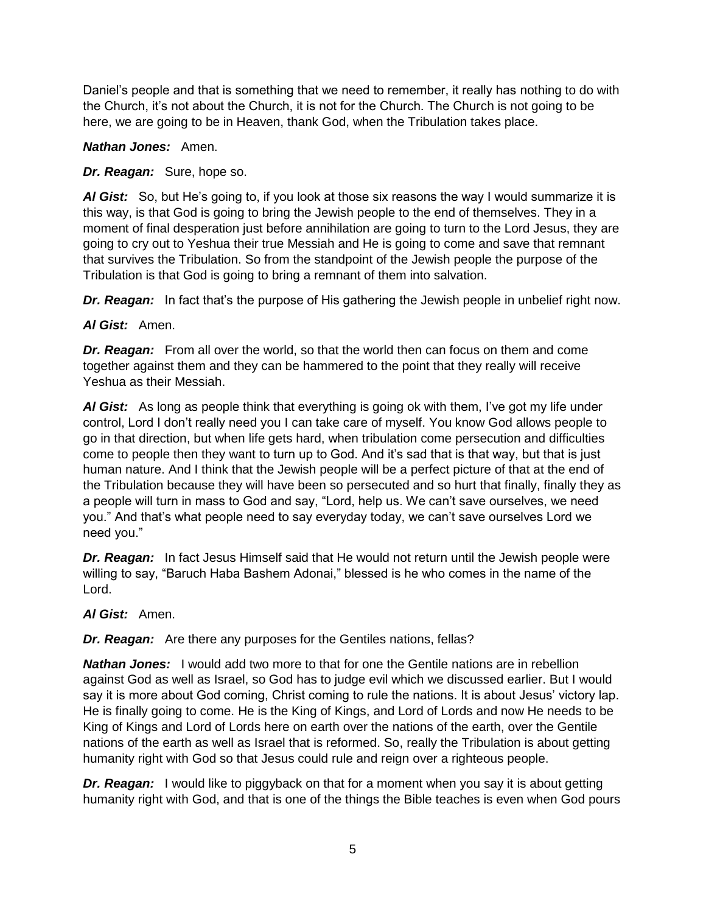Daniel's people and that is something that we need to remember, it really has nothing to do with the Church, it's not about the Church, it is not for the Church. The Church is not going to be here, we are going to be in Heaven, thank God, when the Tribulation takes place.

### *Nathan Jones:* Amen.

## *Dr. Reagan:* Sure, hope so.

*Al Gist:* So, but He's going to, if you look at those six reasons the way I would summarize it is this way, is that God is going to bring the Jewish people to the end of themselves. They in a moment of final desperation just before annihilation are going to turn to the Lord Jesus, they are going to cry out to Yeshua their true Messiah and He is going to come and save that remnant that survives the Tribulation. So from the standpoint of the Jewish people the purpose of the Tribulation is that God is going to bring a remnant of them into salvation.

**Dr. Reagan:** In fact that's the purpose of His gathering the Jewish people in unbelief right now.

# *Al Gist:* Amen.

*Dr. Reagan:* From all over the world, so that the world then can focus on them and come together against them and they can be hammered to the point that they really will receive Yeshua as their Messiah.

*Al Gist:* As long as people think that everything is going ok with them, I've got my life under control, Lord I don't really need you I can take care of myself. You know God allows people to go in that direction, but when life gets hard, when tribulation come persecution and difficulties come to people then they want to turn up to God. And it's sad that is that way, but that is just human nature. And I think that the Jewish people will be a perfect picture of that at the end of the Tribulation because they will have been so persecuted and so hurt that finally, finally they as a people will turn in mass to God and say, "Lord, help us. We can't save ourselves, we need you." And that's what people need to say everyday today, we can't save ourselves Lord we need you."

*Dr. Reagan:* In fact Jesus Himself said that He would not return until the Jewish people were willing to say, "Baruch Haba Bashem Adonai," blessed is he who comes in the name of the Lord.

### *Al Gist:* Amen.

*Dr. Reagan:* Are there any purposes for the Gentiles nations, fellas?

*Nathan Jones:* I would add two more to that for one the Gentile nations are in rebellion against God as well as Israel, so God has to judge evil which we discussed earlier. But I would say it is more about God coming, Christ coming to rule the nations. It is about Jesus' victory lap. He is finally going to come. He is the King of Kings, and Lord of Lords and now He needs to be King of Kings and Lord of Lords here on earth over the nations of the earth, over the Gentile nations of the earth as well as Israel that is reformed. So, really the Tribulation is about getting humanity right with God so that Jesus could rule and reign over a righteous people.

**Dr. Reagan:** I would like to piggyback on that for a moment when you say it is about getting humanity right with God, and that is one of the things the Bible teaches is even when God pours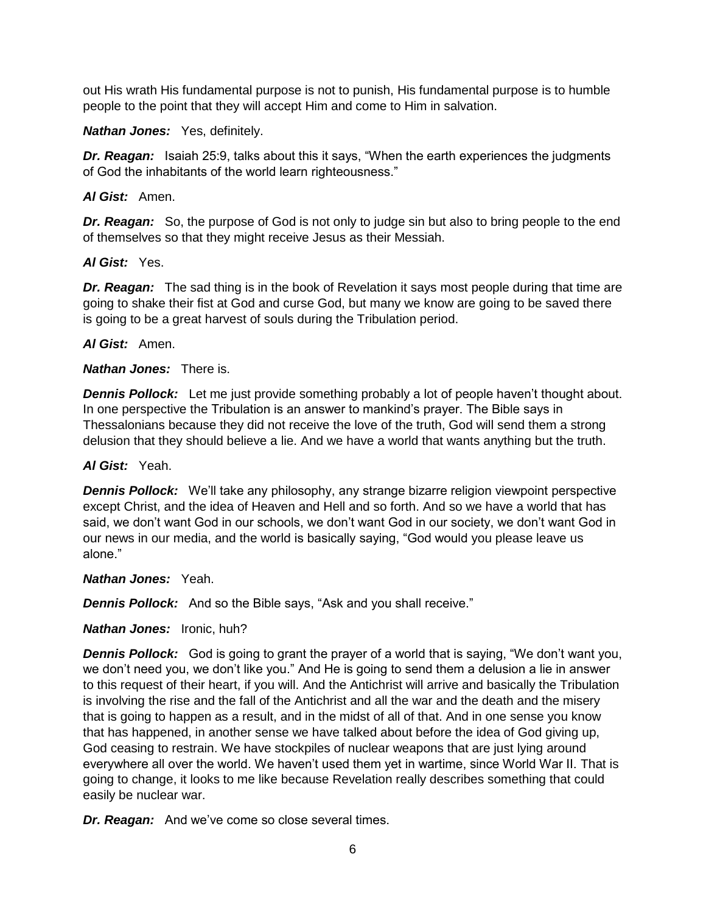out His wrath His fundamental purpose is not to punish, His fundamental purpose is to humble people to the point that they will accept Him and come to Him in salvation.

#### *Nathan Jones:* Yes, definitely.

**Dr. Reagan:** Isaiah 25:9, talks about this it says, "When the earth experiences the judgments of God the inhabitants of the world learn righteousness."

#### *Al Gist:* Amen.

**Dr. Reagan:** So, the purpose of God is not only to judge sin but also to bring people to the end of themselves so that they might receive Jesus as their Messiah.

#### *Al Gist:* Yes.

**Dr. Reagan:** The sad thing is in the book of Revelation it says most people during that time are going to shake their fist at God and curse God, but many we know are going to be saved there is going to be a great harvest of souls during the Tribulation period.

#### *Al Gist:* Amen.

#### *Nathan Jones:* There is.

**Dennis Pollock:** Let me just provide something probably a lot of people haven't thought about. In one perspective the Tribulation is an answer to mankind's prayer. The Bible says in Thessalonians because they did not receive the love of the truth, God will send them a strong delusion that they should believe a lie. And we have a world that wants anything but the truth.

#### *Al Gist:* Yeah.

*Dennis Pollock:* We'll take any philosophy, any strange bizarre religion viewpoint perspective except Christ, and the idea of Heaven and Hell and so forth. And so we have a world that has said, we don't want God in our schools, we don't want God in our society, we don't want God in our news in our media, and the world is basically saying, "God would you please leave us alone."

#### *Nathan Jones:* Yeah.

**Dennis Pollock:** And so the Bible says, "Ask and you shall receive."

### *Nathan Jones:* Ironic, huh?

*Dennis Pollock:* God is going to grant the prayer of a world that is saying, "We don't want you, we don't need you, we don't like you." And He is going to send them a delusion a lie in answer to this request of their heart, if you will. And the Antichrist will arrive and basically the Tribulation is involving the rise and the fall of the Antichrist and all the war and the death and the misery that is going to happen as a result, and in the midst of all of that. And in one sense you know that has happened, in another sense we have talked about before the idea of God giving up, God ceasing to restrain. We have stockpiles of nuclear weapons that are just lying around everywhere all over the world. We haven't used them yet in wartime, since World War II. That is going to change, it looks to me like because Revelation really describes something that could easily be nuclear war.

*Dr. Reagan:* And we've come so close several times.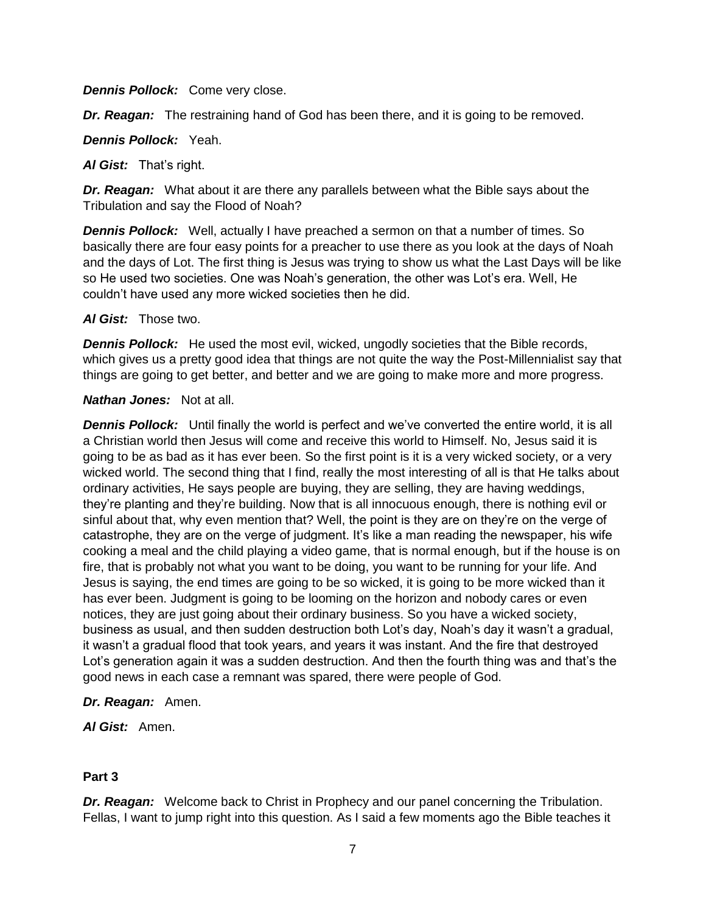*Dennis Pollock:* Come very close.

*Dr. Reagan:* The restraining hand of God has been there, and it is going to be removed.

*Dennis Pollock:* Yeah.

*Al Gist:* That's right.

*Dr. Reagan:* What about it are there any parallels between what the Bible says about the Tribulation and say the Flood of Noah?

*Dennis Pollock:* Well, actually I have preached a sermon on that a number of times. So basically there are four easy points for a preacher to use there as you look at the days of Noah and the days of Lot. The first thing is Jesus was trying to show us what the Last Days will be like so He used two societies. One was Noah's generation, the other was Lot's era. Well, He couldn't have used any more wicked societies then he did.

*Al Gist:* Those two.

*Dennis Pollock:* He used the most evil, wicked, ungodly societies that the Bible records, which gives us a pretty good idea that things are not quite the way the Post-Millennialist say that things are going to get better, and better and we are going to make more and more progress.

#### *Nathan Jones:* Not at all.

**Dennis Pollock:** Until finally the world is perfect and we've converted the entire world, it is all a Christian world then Jesus will come and receive this world to Himself. No, Jesus said it is going to be as bad as it has ever been. So the first point is it is a very wicked society, or a very wicked world. The second thing that I find, really the most interesting of all is that He talks about ordinary activities, He says people are buying, they are selling, they are having weddings, they're planting and they're building. Now that is all innocuous enough, there is nothing evil or sinful about that, why even mention that? Well, the point is they are on they're on the verge of catastrophe, they are on the verge of judgment. It's like a man reading the newspaper, his wife cooking a meal and the child playing a video game, that is normal enough, but if the house is on fire, that is probably not what you want to be doing, you want to be running for your life. And Jesus is saying, the end times are going to be so wicked, it is going to be more wicked than it has ever been. Judgment is going to be looming on the horizon and nobody cares or even notices, they are just going about their ordinary business. So you have a wicked society, business as usual, and then sudden destruction both Lot's day, Noah's day it wasn't a gradual, it wasn't a gradual flood that took years, and years it was instant. And the fire that destroyed Lot's generation again it was a sudden destruction. And then the fourth thing was and that's the good news in each case a remnant was spared, there were people of God.

### *Dr. Reagan:* Amen.

*Al Gist:* Amen.

### **Part 3**

*Dr. Reagan:* Welcome back to Christ in Prophecy and our panel concerning the Tribulation. Fellas, I want to jump right into this question. As I said a few moments ago the Bible teaches it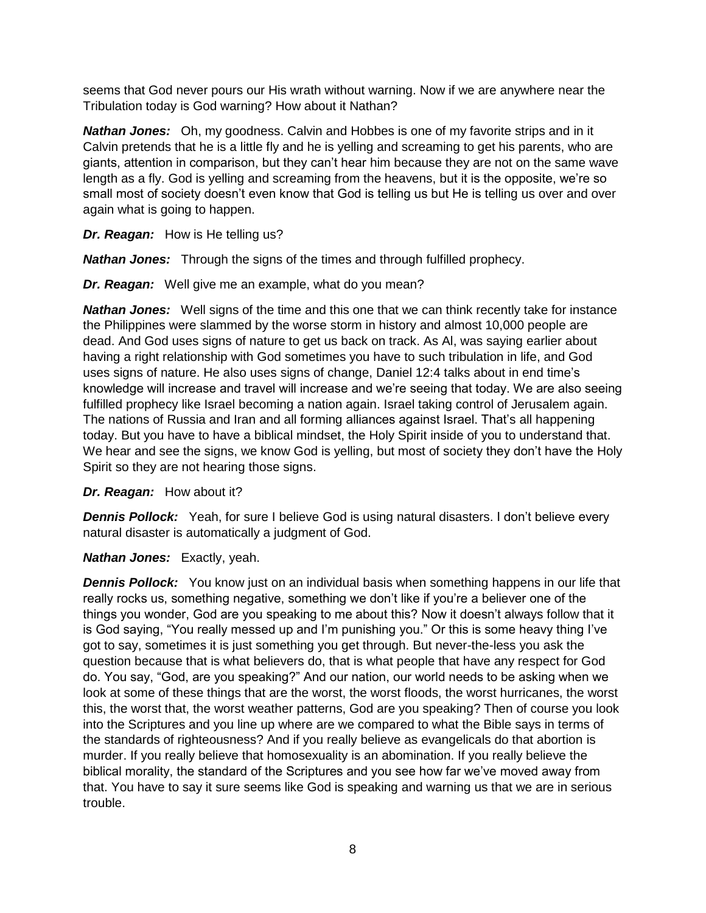seems that God never pours our His wrath without warning. Now if we are anywhere near the Tribulation today is God warning? How about it Nathan?

*Nathan Jones:* Oh, my goodness. Calvin and Hobbes is one of my favorite strips and in it Calvin pretends that he is a little fly and he is yelling and screaming to get his parents, who are giants, attention in comparison, but they can't hear him because they are not on the same wave length as a fly. God is yelling and screaming from the heavens, but it is the opposite, we're so small most of society doesn't even know that God is telling us but He is telling us over and over again what is going to happen.

*Dr. Reagan:* How is He telling us?

*Nathan Jones:* Through the signs of the times and through fulfilled prophecy.

*Dr. Reagan:* Well give me an example, what do you mean?

*Nathan Jones:* Well signs of the time and this one that we can think recently take for instance the Philippines were slammed by the worse storm in history and almost 10,000 people are dead. And God uses signs of nature to get us back on track. As Al, was saying earlier about having a right relationship with God sometimes you have to such tribulation in life, and God uses signs of nature. He also uses signs of change, Daniel 12:4 talks about in end time's knowledge will increase and travel will increase and we're seeing that today. We are also seeing fulfilled prophecy like Israel becoming a nation again. Israel taking control of Jerusalem again. The nations of Russia and Iran and all forming alliances against Israel. That's all happening today. But you have to have a biblical mindset, the Holy Spirit inside of you to understand that. We hear and see the signs, we know God is yelling, but most of society they don't have the Holy Spirit so they are not hearing those signs.

*Dr. Reagan:* How about it?

*Dennis Pollock:* Yeah, for sure I believe God is using natural disasters. I don't believe every natural disaster is automatically a judgment of God.

*Nathan Jones:* Exactly, yeah.

**Dennis Pollock:** You know just on an individual basis when something happens in our life that really rocks us, something negative, something we don't like if you're a believer one of the things you wonder, God are you speaking to me about this? Now it doesn't always follow that it is God saying, "You really messed up and I'm punishing you." Or this is some heavy thing I've got to say, sometimes it is just something you get through. But never-the-less you ask the question because that is what believers do, that is what people that have any respect for God do. You say, "God, are you speaking?" And our nation, our world needs to be asking when we look at some of these things that are the worst, the worst floods, the worst hurricanes, the worst this, the worst that, the worst weather patterns, God are you speaking? Then of course you look into the Scriptures and you line up where are we compared to what the Bible says in terms of the standards of righteousness? And if you really believe as evangelicals do that abortion is murder. If you really believe that homosexuality is an abomination. If you really believe the biblical morality, the standard of the Scriptures and you see how far we've moved away from that. You have to say it sure seems like God is speaking and warning us that we are in serious trouble.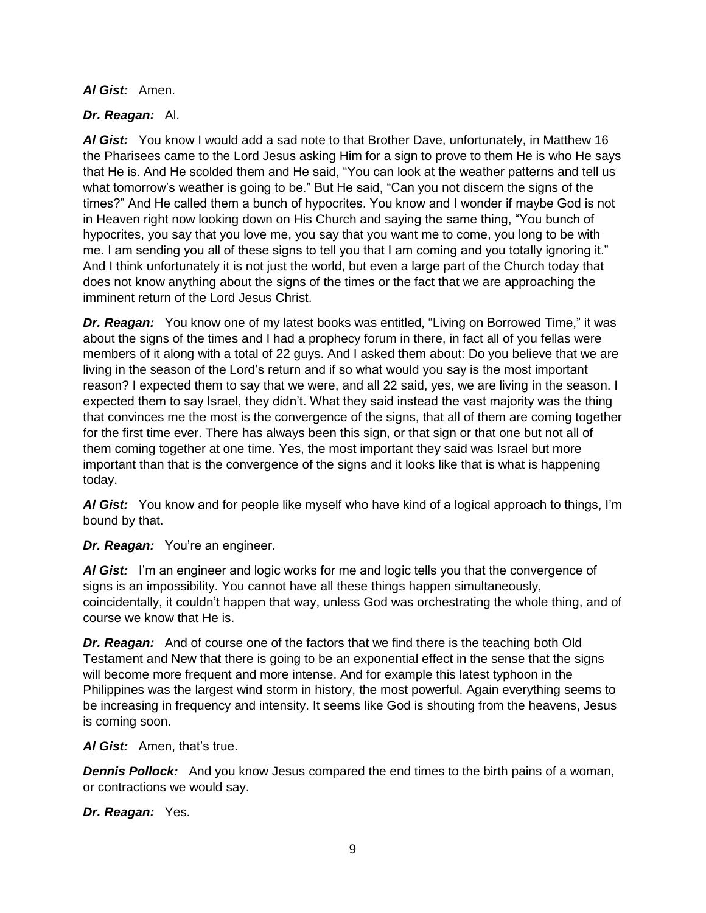### *Al Gist:* Amen.

# *Dr. Reagan:* Al.

*Al Gist:* You know I would add a sad note to that Brother Dave, unfortunately, in Matthew 16 the Pharisees came to the Lord Jesus asking Him for a sign to prove to them He is who He says that He is. And He scolded them and He said, "You can look at the weather patterns and tell us what tomorrow's weather is going to be." But He said, "Can you not discern the signs of the times?" And He called them a bunch of hypocrites. You know and I wonder if maybe God is not in Heaven right now looking down on His Church and saying the same thing, "You bunch of hypocrites, you say that you love me, you say that you want me to come, you long to be with me. I am sending you all of these signs to tell you that I am coming and you totally ignoring it." And I think unfortunately it is not just the world, but even a large part of the Church today that does not know anything about the signs of the times or the fact that we are approaching the imminent return of the Lord Jesus Christ.

**Dr. Reagan:** You know one of my latest books was entitled, "Living on Borrowed Time," it was about the signs of the times and I had a prophecy forum in there, in fact all of you fellas were members of it along with a total of 22 guys. And I asked them about: Do you believe that we are living in the season of the Lord's return and if so what would you say is the most important reason? I expected them to say that we were, and all 22 said, yes, we are living in the season. I expected them to say Israel, they didn't. What they said instead the vast majority was the thing that convinces me the most is the convergence of the signs, that all of them are coming together for the first time ever. There has always been this sign, or that sign or that one but not all of them coming together at one time. Yes, the most important they said was Israel but more important than that is the convergence of the signs and it looks like that is what is happening today.

*Al Gist:* You know and for people like myself who have kind of a logical approach to things, I'm bound by that.

*Dr. Reagan:* You're an engineer.

*Al Gist:* I'm an engineer and logic works for me and logic tells you that the convergence of signs is an impossibility. You cannot have all these things happen simultaneously, coincidentally, it couldn't happen that way, unless God was orchestrating the whole thing, and of course we know that He is.

*Dr. Reagan:* And of course one of the factors that we find there is the teaching both Old Testament and New that there is going to be an exponential effect in the sense that the signs will become more frequent and more intense. And for example this latest typhoon in the Philippines was the largest wind storm in history, the most powerful. Again everything seems to be increasing in frequency and intensity. It seems like God is shouting from the heavens, Jesus is coming soon.

# *Al Gist:* Amen, that's true.

*Dennis Pollock:* And you know Jesus compared the end times to the birth pains of a woman, or contractions we would say.

*Dr. Reagan:* Yes.